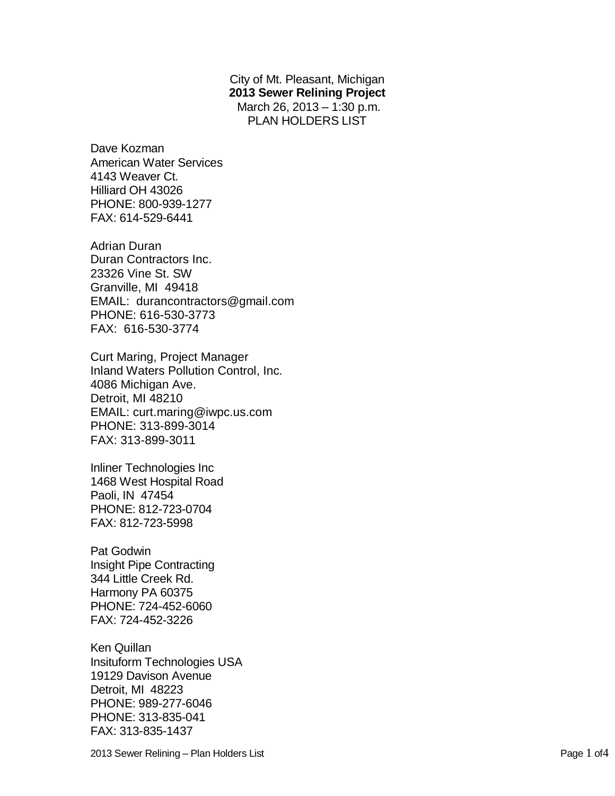City of Mt. Pleasant, Michigan **2013 Sewer Relining Project** March 26, 2013 – 1:30 p.m. PLAN HOLDERS LIST

Dave Kozman American Water Services 4143 Weaver Ct. Hilliard OH 43026 PHONE: 800-939-1277 FAX: 614-529-6441

Adrian Duran Duran Contractors Inc. 23326 Vine St. SW Granville, MI 49418 EMAIL: durancontractors@gmail.com PHONE: 616-530-3773 FAX: 616-530-3774

Curt Maring, Project Manager Inland Waters Pollution Control, Inc. 4086 Michigan Ave. Detroit, MI 48210 EMAIL: curt.maring@iwpc.us.com PHONE: 313-899-3014 FAX: 313-899-3011

Inliner Technologies Inc 1468 West Hospital Road Paoli, IN 47454 PHONE: 812-723-0704 FAX: 812-723-5998

Pat Godwin Insight Pipe Contracting 344 Little Creek Rd. Harmony PA 60375 PHONE: 724-452-6060 FAX: 724-452-3226

Ken Quillan Insituform Technologies USA 19129 Davison Avenue Detroit, MI 48223 PHONE: 989-277-6046 PHONE: 313-835-041 FAX: 313-835-1437

2013 Sewer Relining – Plan Holders List Page 1 of4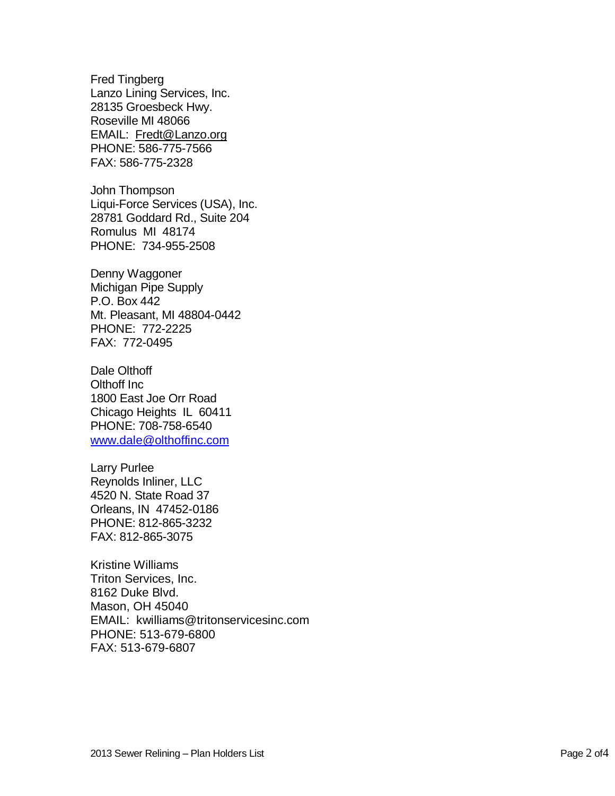Fred Tingberg Lanzo Lining Services, Inc. 28135 Groesbeck Hwy. Roseville MI 48066 EMAIL: Fredt@Lanzo.org PHONE: 586-775-7566 FAX: 586-775-2328

John Thompson Liqui-Force Services (USA), Inc. 28781 Goddard Rd., Suite 204 Romulus MI 48174 PHONE: 734-955-2508

Denny Waggoner Michigan Pipe Supply P.O. Box 442 Mt. Pleasant, MI 48804-0442 PHONE: 772-2225 FAX: 772-0495

Dale Olthoff Olthoff Inc 1800 East Joe Orr Road Chicago Heights IL 60411 PHONE: 708-758-6540 [www.dale@olthoffinc.com](http://www.dale@olthoffinc.com/)

Larry Purlee Reynolds Inliner, LLC 4520 N. State Road 37 Orleans, IN 47452-0186 PHONE: 812-865-3232 FAX: 812-865-3075

Kristine Williams Triton Services, Inc. 8162 Duke Blvd. Mason, OH 45040 EMAIL: kwilliams@tritonservicesinc.com PHONE: 513-679-6800 FAX: 513-679-6807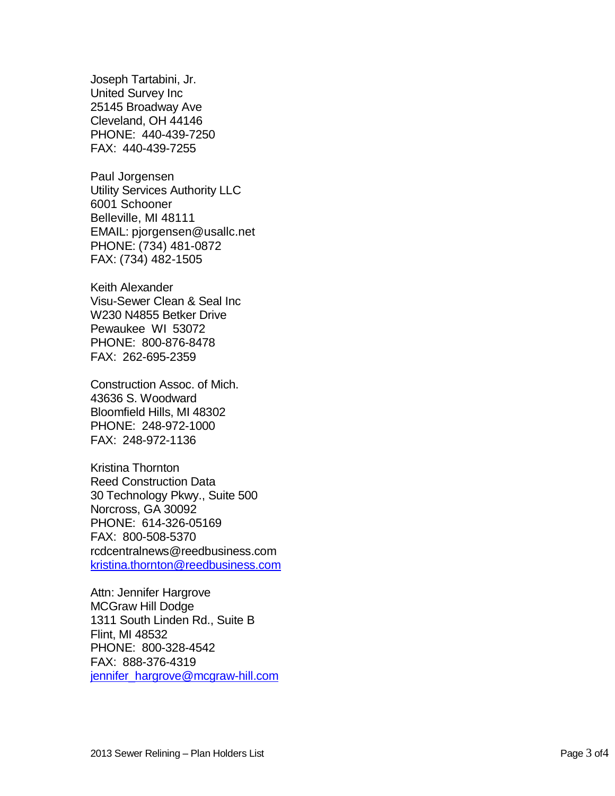Joseph Tartabini, Jr. United Survey Inc 25145 Broadway Ave Cleveland, OH 44146 PHONE: 440-439-7250 FAX: 440-439-7255

Paul Jorgensen Utility Services Authority LLC 6001 Schooner Belleville, MI 48111 EMAIL: pjorgensen@usallc.net PHONE: (734) 481-0872 FAX: (734) 482-1505

Keith Alexander Visu-Sewer Clean & Seal Inc W230 N4855 Betker Drive Pewaukee WI 53072 PHONE: 800-876-8478 FAX: 262-695-2359

Construction Assoc. of Mich. 43636 S. Woodward Bloomfield Hills, MI 48302 PHONE: 248-972-1000 FAX: 248-972-1136

Kristina Thornton Reed Construction Data 30 Technology Pkwy., Suite 500 Norcross, GA 30092 PHONE: 614-326-05169 FAX: 800-508-5370 rcdcentralnews@reedbusiness.com kristina.thornton@reedbusiness.com

Attn: Jennifer Hargrove MCGraw Hill Dodge 1311 South Linden Rd., Suite B Flint, MI 48532 PHONE: 800-328-4542 FAX: 888-376-4319 jennifer\_hargrove@mcgraw-hill.com